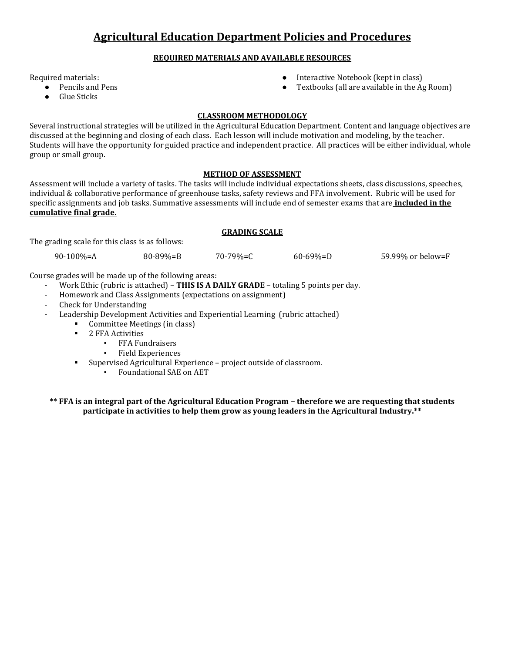#### **REQUIRED MATERIALS AND AVAILABLE RESOURCES**

Required materials:

- Pencils and Pens
- Glue Sticks
- Interactive Notebook (kept in class)
- Textbooks (all are available in the Ag Room)

#### **CLASSROOM METHODOLOGY**

Several instructional strategies will be utilized in the Agricultural Education Department. Content and language objectives are discussed at the beginning and closing of each class. Each lesson will include motivation and modeling, by the teacher. Students will have the opportunity for guided practice and independent practice. All practices will be either individual, whole group or small group.

#### **METHOD OF ASSESSMENT**

Assessment will include a variety of tasks. The tasks will include individual expectations sheets, class discussions, speeches, individual & collaborative performance of greenhouse tasks, safety reviews and FFA involvement. Rubric will be used for specific assignments and job tasks. Summative assessments will include end of semester exams that are **included in the cumulative final grade.**

#### **GRADING SCALE**

The grading scale for this class is as follows:

90-100%=A 80-89%=B 70-79%=C 60-69%=D 59.99% or below=F

Course grades will be made up of the following areas:

- Work Ethic (rubric is attached) **THIS IS A DAILY GRADE** totaling 5 points per day.
- Homework and Class Assignments (expectations on assignment)
- Check for Understanding
- Leadership Development Activities and Experiential Learning (rubric attached)
	- Committee Meetings (in class)
	- **2 FFA Activities** 
		- **FFA Fundraisers**
		- **Field Experiences**
	- Supervised Agricultural Experience project outside of classroom.
		- Foundational SAE on AET

**\*\* FFA is an integral part of the Agricultural Education Program – therefore we are requesting that students participate in activities to help them grow as young leaders in the Agricultural Industry.\*\***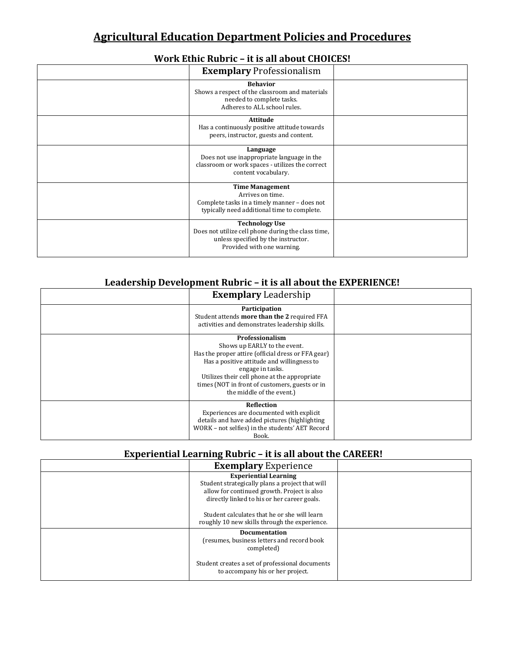## **Work Ethic Rubric – it is all about CHOICES!**

| <b>Exemplary Professionalism</b>                                                                                                                 |  |
|--------------------------------------------------------------------------------------------------------------------------------------------------|--|
| <b>Behavior</b><br>Shows a respect of the classroom and materials<br>needed to complete tasks.<br>Adheres to ALL school rules.                   |  |
| Attitude<br>Has a continuously positive attitude towards<br>peers, instructor, guests and content.                                               |  |
| Language<br>Does not use inappropriate language in the<br>classroom or work spaces - utilizes the correct<br>content vocabulary.                 |  |
| <b>Time Management</b><br>Arrives on time.<br>Complete tasks in a timely manner - does not<br>typically need additional time to complete.        |  |
| <b>Technology Use</b><br>Does not utilize cell phone during the class time,<br>unless specified by the instructor.<br>Provided with one warning. |  |

## **Leadership Development Rubric – it is all about the EXPERIENCE!**

| <b>Exemplary Leadership</b>                                                                                                                                                                                                                                                                                   |  |
|---------------------------------------------------------------------------------------------------------------------------------------------------------------------------------------------------------------------------------------------------------------------------------------------------------------|--|
| Participation<br>Student attends more than the 2 required FFA<br>activities and demonstrates leadership skills.                                                                                                                                                                                               |  |
| <b>Professionalism</b><br>Shows up EARLY to the event.<br>Has the proper attire (official dress or FFA gear)<br>Has a positive attitude and willingness to<br>engage in tasks.<br>Utilizes their cell phone at the appropriate<br>times (NOT in front of customers, guests or in<br>the middle of the event.) |  |
| Reflection<br>Experiences are documented with explicit<br>details and have added pictures (highlighting<br>WORK - not selfies) in the students' AET Record<br>Book.                                                                                                                                           |  |

## **Experiential Learning Rubric – it is all about the CAREER!**

| <b>Exemplary Experience</b>                                                                                                                                                   |  |
|-------------------------------------------------------------------------------------------------------------------------------------------------------------------------------|--|
| <b>Experiential Learning</b><br>Student strategically plans a project that will<br>allow for continued growth. Project is also<br>directly linked to his or her career goals. |  |
| Student calculates that he or she will learn<br>roughly 10 new skills through the experience.                                                                                 |  |
| <b>Documentation</b><br>(resumes, business letters and record book<br>completed)                                                                                              |  |
| Student creates a set of professional documents<br>to accompany his or her project.                                                                                           |  |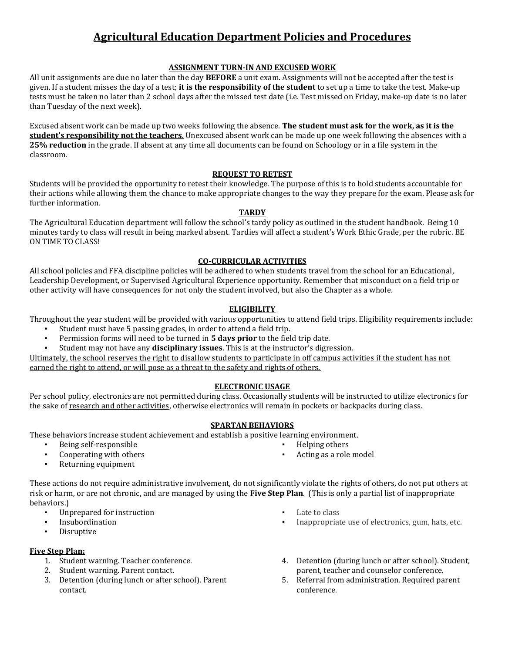#### **ASSIGNMENT TURN-IN AND EXCUSED WORK**

All unit assignments are due no later than the day **BEFORE** a unit exam. Assignments will not be accepted after the test is given. If a student misses the day of a test; **it is the responsibility of the student** to set up a time to take the test. Make-up tests must be taken no later than 2 school days after the missed test date (i.e. Test missed on Friday, make-up date is no later than Tuesday of the next week).

Excused absent work can be made up two weeks following the absence. **The student must ask for the work, as it is the student's responsibility not the teachers**. Unexcused absent work can be made up one week following the absences with a **25% reduction** in the grade. If absent at any time all documents can be found on Schoology or in a file system in the classroom.

#### **REQUEST TO RETEST**

Students will be provided the opportunity to retest their knowledge. The purpose of this is to hold students accountable for their actions while allowing them the chance to make appropriate changes to the way they prepare for the exam. Please ask for further information.

#### **TARDY**

The Agricultural Education department will follow the school's tardy policy as outlined in the student handbook. Being 10 minutes tardy to class will result in being marked absent. Tardies will affect a student's Work Ethic Grade, per the rubric. BE ON TIME TO CLASS!

#### **CO-CURRICULAR ACTIVITIES**

All school policies and FFA discipline policies will be adhered to when students travel from the school for an Educational, Leadership Development, or Supervised Agricultural Experience opportunity. Remember that misconduct on a field trip or other activity will have consequences for not only the student involved, but also the Chapter as a whole.

#### **ELIGIBILITY**

Throughout the year student will be provided with various opportunities to attend field trips. Eligibility requirements include:

- Student must have 5 passing grades, in order to attend a field trip.
- Permission forms will need to be turned in **5 days prior** to the field trip date.
- Student may not have any **disciplinary issues**. This is at the instructor's digression.

Ultimately, the school reserves the right to disallow students to participate in off campus activities if the student has not earned the right to attend, or will pose as a threat to the safety and rights of others.

#### **ELECTRONIC USAGE**

Per school policy, electronics are not permitted during class. Occasionally students will be instructed to utilize electronics for the sake of research and other activities, otherwise electronics will remain in pockets or backpacks during class.

#### **SPARTAN BEHAVIORS**

These behaviors increase student achievement and establish a positive learning environment.

- Being self-responsible
- Cooperating with others
- Returning equipment

These actions do not require administrative involvement, do not significantly violate the rights of others, do not put others at risk or harm, or are not chronic, and are managed by using the **Five Step Plan**. (This is only a partial list of inappropriate behaviors.)

- Unprepared for instruction
- **Insubordination**
- Disruptive

#### **Five Step Plan:**

- 1. Student warning. Teacher conference.
- 2. Student warning. Parent contact.
- 3. Detention (during lunch or after school). Parent contact.
- Late to class

Helping others Acting as a role model

- Inappropriate use of electronics, gum, hats, etc.
- 4. Detention (during lunch or after school). Student, parent, teacher and counselor conference.
- 5. Referral from administration. Required parent conference.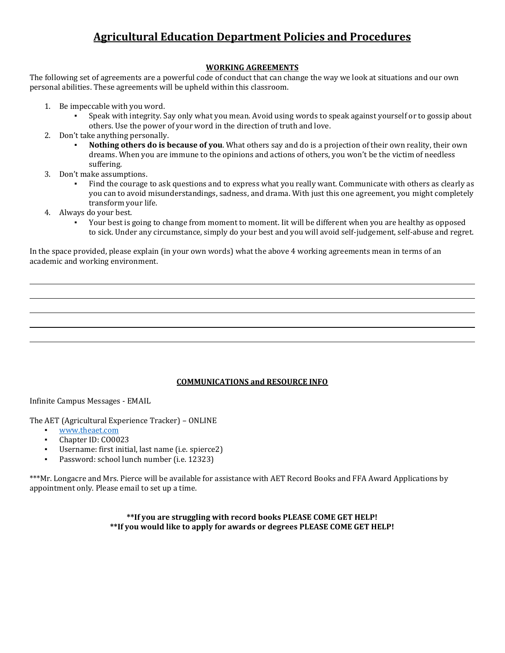#### **WORKING AGREEMENTS**

The following set of agreements are a powerful code of conduct that can change the way we look at situations and our own personal abilities. These agreements will be upheld within this classroom.

- 1. Be impeccable with you word.
	- Speak with integrity. Say only what you mean. Avoid using words to speak against yourself or to gossip about others. Use the power of your word in the direction of truth and love.
- 2. Don't take anything personally.
	- Nothing others do is because of you. What others say and do is a projection of their own reality, their own dreams. When you are immune to the opinions and actions of others, you won't be the victim of needless suffering.
- 3. Don't make assumptions.
	- Find the courage to ask questions and to express what you really want. Communicate with others as clearly as you can to avoid misunderstandings, sadness, and drama. With just this one agreement, you might completely transform your life.
- 4. Always do your best.
	- Your best is going to change from moment to moment. Iit will be different when you are healthy as opposed to sick. Under any circumstance, simply do your best and you will avoid self-judgement, self-abuse and regret.

In the space provided, please explain (in your own words) what the above 4 working agreements mean in terms of an academic and working environment.

#### **COMMUNICATIONS and RESOURCE INFO**

Infinite Campus Messages - EMAIL

The AET (Agricultural Experience Tracker) – ONLINE

- [www.theaet.com](http://www.theaet.com/)
- Chapter ID: CO0023
- Username: first initial, last name (i.e. spierce2)
- Password: school lunch number (i.e. 12323)

\*\*\*Mr. Longacre and Mrs. Pierce will be available for assistance with AET Record Books and FFA Award Applications by appointment only. Please email to set up a time.

> **\*\*If you are struggling with record books PLEASE COME GET HELP! \*\*If you would like to apply for awards or degrees PLEASE COME GET HELP!**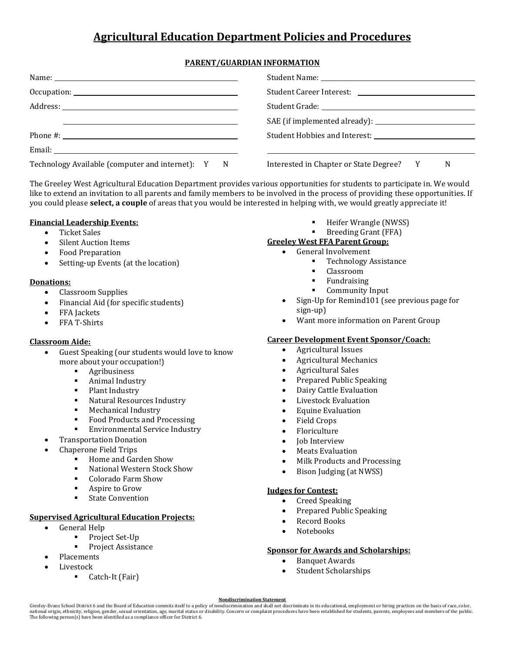#### **PARENT/GUARDIAN INFORMATION**

| Technology Available (computer and internet): Y N | Interested in Chapter or State Degree? Y<br>N |
|---------------------------------------------------|-----------------------------------------------|

The Greeley West Agricultural Education Department provides various opportunities for students to participate in. We would like to extend an invitation to all parents and family members to be involved in the process of providing these opportunities. If you could please **select, a couple** of areas that you would be interested in helping with, we would greatly appreciate it!

#### **Financial Leadership Events:**

- Ticket Sales
- Silent Auction Items
- Food Preparation
- Setting-up Events (at the location)

#### **Donations:**

- Classroom Supplies
- Financial Aid (for specific students)
- FFA Jackets
- FFA T-Shirts

#### **Classroom Aide:**

- Guest Speaking (our students would love to know more about your occupation!)
	- Agribusiness
	- Animal Industry
	- Plant Industry
	- **Natural Resources Industry**
	- **Mechanical Industry**
	- Food Products and Processing
	- **Environmental Service Industry**
- Transportation Donation
- Chaperone Field Trips
	- **Home and Garden Show** 
		- National Western Stock Show
		- Colorado Farm Show
		- Aspire to Grow
	- **State Convention**

#### **Supervised Agricultural Education Projects:**

- General Help
	- Project Set-Up
	- Project Assistance
- Placements
- Livestock
	- Catch-It (Fair)

Heifer Wrangle (NWSS)

#### **Breeding Grant (FFA)**

#### **Greeley West FFA Parent Group:**

#### General Involvement

- Technology Assistance
- Classroom
- Fundraising
- Community Input
- Sign-Up for Remind101 (see previous page for sign-up)
- Want more information on Parent Group

#### **Career Development Event Sponsor/Coach:**

- Agricultural Issues
- Agricultural Mechanics
- Agricultural Sales
- Prepared Public Speaking
- Dairy Cattle Evaluation
- Livestock Evaluation
- Equine Evaluation
- Field Crops
- Floriculture
- Job Interview
- Meats Evaluation
- Milk Products and Processing
- Bison Judging (at NWSS)

#### **Judges for Contest:**

- Creed Speaking
- Prepared Public Speaking
- Record Books
- Notebooks

#### **Sponsor for Awards and Scholarships:**

- Banquet Awards
- Student Scholarships

[Nondiscrimination Statement](http://www.greeleyschools.org/site/default.aspx?PageType=3&DomainID=4&ModuleInstanceID=92&ViewID=047E6BE3-6D87-4130-8424-D8E4E9ED6C2A&RenderLoc=0&FlexDataID=26204&PageID=1)<br>Greeley-Evans School District 6 and the Board of Education commits itself to a policy of nondiscrimination and shall not discriminate in its educational, employment or hiring practices on the ba national origin, ethnicity, religion, gender, sexual orientation, age, marital status or disability. Concern or complaint procedures have been established for students, parents, employees and members of the public. The following person(s) have been identified as a compliance officer for District 6.